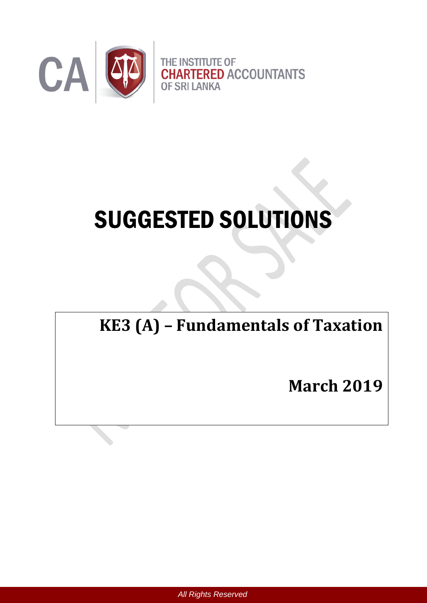

# SUGGESTED SOLUTIONS

# **KE3 (A) – Fundamentals of Taxation**

**March 2019**

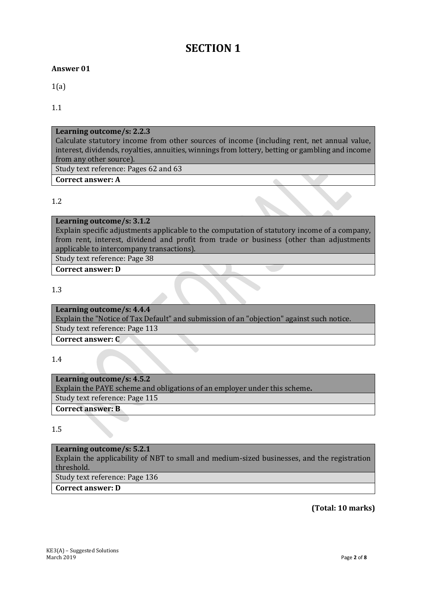## **SECTION 1**

#### **Answer 01**

1(a)

1.1

#### **Learning outcome/s: 2.2.3**

Calculate statutory income from other sources of income (including rent, net annual value, interest, dividends, royalties, annuities, winnings from lottery, betting or gambling and income from any other source).

Study text reference: Pages 62 and 63

#### **Correct answer: A**

#### 1.2

#### **Learning outcome/s: 3.1.2**

Explain specific adjustments applicable to the computation of statutory income of a company, from rent, interest, dividend and profit from trade or business (other than adjustments applicable to intercompany transactions).

Study text reference: Page 38

**Correct answer: D**

#### 1.3

#### **Learning outcome/s: 4.4.4**

Explain the "Notice of Tax Default" and submission of an "objection" against such notice. Study text reference: Page 113

**Correct answer: C**

1.4

### **Learning outcome/s: 4.5.2** Explain the PAYE scheme and obligations of an employer under this scheme**.** Study text reference: Page 115

**Correct answer: B**

#### 1.5

#### **Learning outcome/s: 5.2.1**

Explain the applicability of NBT to small and medium-sized businesses, and the registration threshold.

Study text reference: Page 136

**Correct answer: D**

**(Total: 10 marks)**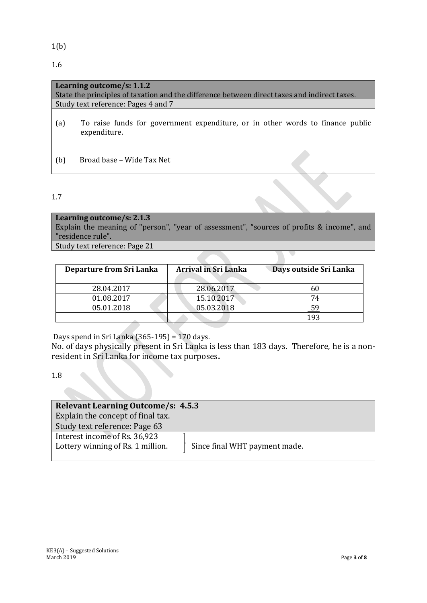1(b)

1.6

|     | Learning outcome/s: 1.1.2                                                                      |
|-----|------------------------------------------------------------------------------------------------|
|     | State the principles of taxation and the difference between direct taxes and indirect taxes.   |
|     | Study text reference: Pages 4 and 7                                                            |
| (a) | To raise funds for government expenditure, or in other words to finance public<br>expenditure. |
| (b) | Broad base - Wide Tax Net                                                                      |

#### 1.7

#### **Learning outcome/s: 2.1.3**

Explain the meaning of "person", "year of assessment", "sources of profits & income", and "residence rule".

Study text reference: Page 21

| Departure from Sri Lanka | <b>Arrival in Sri Lanka</b> | Days outside Sri Lanka |
|--------------------------|-----------------------------|------------------------|
| 28.04.2017               | 28.06.2017                  |                        |
| 01.08.2017               | 15.10.2017                  | 74                     |
| 05.01.2018               | 05.03.2018                  |                        |
|                          |                             |                        |

Days spend in Sri Lanka (365-195) = 170 days.

No. of days physically present in Sri Lanka is less than 183 days. Therefore, he is a nonresident in Sri Lanka for income tax purposes**.** 

1.8

| <b>Relevant Learning Outcome/s: 4.5.3</b>                          |
|--------------------------------------------------------------------|
| Explain the concept of final tax.                                  |
| Study text reference: Page 63                                      |
| Interest income of Rs. 36,923                                      |
| Lottery winning of Rs. 1 million.<br>Since final WHT payment made. |
|                                                                    |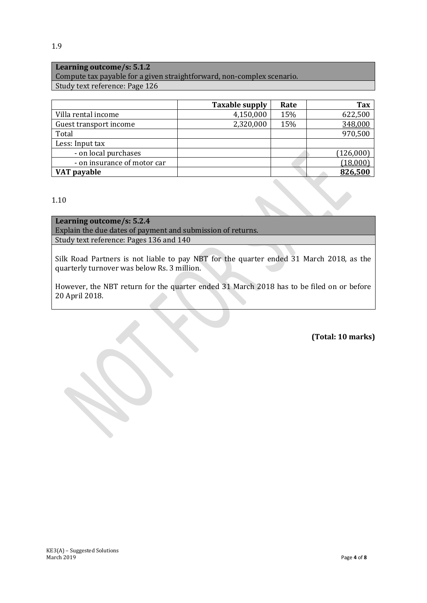#### **Learning outcome/s: 5.1.2**

Compute tax payable for a given straightforward, non-complex scenario. Study text reference: Page 126

|                             | <b>Taxable supply</b> | Rate | <b>Tax</b> |
|-----------------------------|-----------------------|------|------------|
| Villa rental income         | 4,150,000             | 15%  | 622,500    |
| Guest transport income      | 2,320,000             | 15%  | 348,000    |
| Total                       |                       |      | 970,500    |
| Less: Input tax             |                       |      |            |
| - on local purchases        |                       |      | (126,000)  |
| - on insurance of motor car |                       |      | (18,000)   |
| VAT payable                 |                       |      | 826,500    |

#### 1.10

**Learning outcome/s: 5.2.4** Explain the due dates of payment and submission of returns. Study text reference: Pages 136 and 140

Silk Road Partners is not liable to pay NBT for the quarter ended 31 March 2018, as the quarterly turnover was below Rs. 3 million.

However, the NBT return for the quarter ended 31 March 2018 has to be filed on or before 20 April 2018.

#### **(Total: 10 marks)**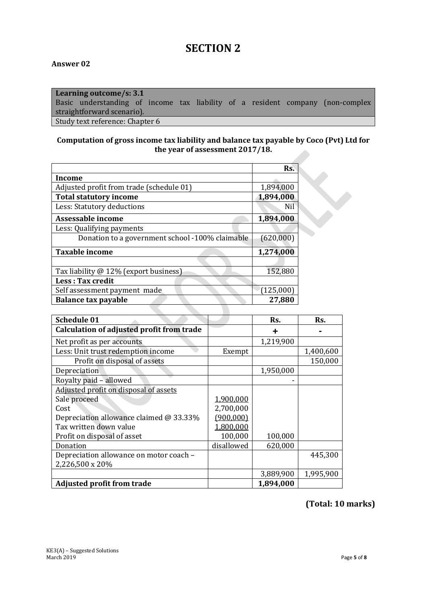# **SECTION 2**

#### **Answer 02**

#### **Learning outcome/s: 3.1** Basic understanding of income tax liability of a resident company (non-complex straightforward scenario). Study text reference: Chapter 6

#### **Computation of gross income tax liability and balance tax payable by Coco (Pvt) Ltd for the year of assessment 2017/18.**

|                                                 | Rs.       |  |
|-------------------------------------------------|-----------|--|
| Income                                          |           |  |
| Adjusted profit from trade (schedule 01)        | 1,894,000 |  |
| <b>Total statutory income</b>                   | 1,894,000 |  |
| Less: Statutory deductions                      | Nil       |  |
| Assessable income                               | 1,894,000 |  |
| Less: Qualifying payments                       |           |  |
| Donation to a government school -100% claimable | (620,000) |  |
| <b>Taxable income</b>                           | 1,274,000 |  |
|                                                 |           |  |
| Tax liability @ 12% (export business)           | 152,880   |  |
| <b>Less: Tax credit</b>                         |           |  |
| Self assessment payment made                    | (125,000) |  |
| <b>Balance tax payable</b>                      | 27,880    |  |

| Schedule 01                                      |            | Rs.       | Rs.       |
|--------------------------------------------------|------------|-----------|-----------|
| <b>Calculation of adjusted profit from trade</b> |            |           |           |
| Net profit as per accounts                       |            | 1,219,900 |           |
| Less: Unit trust redemption income               | Exempt     |           | 1,400,600 |
| Profit on disposal of assets                     |            |           | 150,000   |
| Depreciation                                     |            | 1,950,000 |           |
| Royalty paid - allowed                           |            |           |           |
| Adjusted profit on disposal of assets            |            |           |           |
| Sale proceed                                     | 1,900,000  |           |           |
| Cost                                             | 2,700,000  |           |           |
| Depreciation allowance claimed @ 33.33%          | (900, 000) |           |           |
| Tax written down value                           | 1,800,000  |           |           |
| Profit on disposal of asset                      | 100,000    | 100,000   |           |
| Donation                                         | disallowed | 620,000   |           |
| Depreciation allowance on motor coach -          |            |           | 445,300   |
| 2,226,500 x 20%                                  |            |           |           |
|                                                  |            | 3,889,900 | 1,995,900 |
| <b>Adjusted profit from trade</b>                |            | 1,894,000 |           |

#### **(Total: 10 marks)**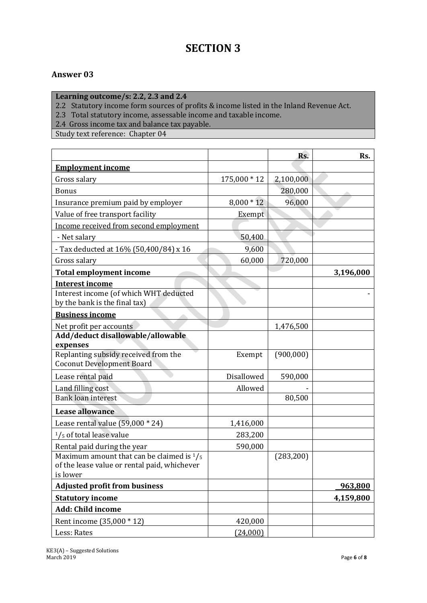# **SECTION 3**

#### **Answer 03**

**Learning outcome/s: 2.2, 2.3 and 2.4**

2.2 Statutory income form sources of profits & income listed in the Inland Revenue Act.

2.3 Total statutory income, assessable income and taxable income.

2.4Gross income tax and balance tax payable.

Study text reference: Chapter 04

| <b>Employment income</b><br>2,100,000<br>Gross salary<br>175,000 * 12<br>280,000<br><b>Bonus</b><br>$8,000 * 12$<br>96,000<br>Insurance premium paid by employer<br>Value of free transport facility<br>Exempt<br>Income received from second employment<br>- Net salary<br>50,400<br>9,600<br>- Tax deducted at 16% (50,400/84) x 16<br>60,000<br>720,000<br>Gross salary<br><b>Total employment income</b><br>3,196,000<br><b>Interest income</b><br>Interest income (of which WHT deducted<br>by the bank is the final tax)<br><b>Business income</b><br>Net profit per accounts<br>1,476,500<br>Add/deduct disallowable/allowable<br>expenses<br>Replanting subsidy received from the<br>(900,000)<br>Exempt<br><b>Coconut Development Board</b><br>Disallowed<br>590,000<br>Lease rental paid<br>Land filling cost<br>Allowed<br><b>Bank loan interest</b><br>80,500<br><b>Lease allowance</b><br>Lease rental value (59,000 * 24)<br>1,416,000<br>$1/5$ of total lease value<br>283,200<br>590,000<br>Rental paid during the year<br>Maximum amount that can be claimed is $\frac{1}{5}$<br>(283, 200)<br>of the lease value or rental paid, whichever<br>is lower<br><b>Adjusted profit from business</b><br>963,800<br><b>Statutory income</b><br>4,159,800<br>Add: Child income<br>Rent income (35,000 * 12)<br>420,000 |             |          | Rs. | Rs. |
|----------------------------------------------------------------------------------------------------------------------------------------------------------------------------------------------------------------------------------------------------------------------------------------------------------------------------------------------------------------------------------------------------------------------------------------------------------------------------------------------------------------------------------------------------------------------------------------------------------------------------------------------------------------------------------------------------------------------------------------------------------------------------------------------------------------------------------------------------------------------------------------------------------------------------------------------------------------------------------------------------------------------------------------------------------------------------------------------------------------------------------------------------------------------------------------------------------------------------------------------------------------------------------------------------------------------------------|-------------|----------|-----|-----|
|                                                                                                                                                                                                                                                                                                                                                                                                                                                                                                                                                                                                                                                                                                                                                                                                                                                                                                                                                                                                                                                                                                                                                                                                                                                                                                                                  |             |          |     |     |
|                                                                                                                                                                                                                                                                                                                                                                                                                                                                                                                                                                                                                                                                                                                                                                                                                                                                                                                                                                                                                                                                                                                                                                                                                                                                                                                                  |             |          |     |     |
|                                                                                                                                                                                                                                                                                                                                                                                                                                                                                                                                                                                                                                                                                                                                                                                                                                                                                                                                                                                                                                                                                                                                                                                                                                                                                                                                  |             |          |     |     |
|                                                                                                                                                                                                                                                                                                                                                                                                                                                                                                                                                                                                                                                                                                                                                                                                                                                                                                                                                                                                                                                                                                                                                                                                                                                                                                                                  |             |          |     |     |
|                                                                                                                                                                                                                                                                                                                                                                                                                                                                                                                                                                                                                                                                                                                                                                                                                                                                                                                                                                                                                                                                                                                                                                                                                                                                                                                                  |             |          |     |     |
|                                                                                                                                                                                                                                                                                                                                                                                                                                                                                                                                                                                                                                                                                                                                                                                                                                                                                                                                                                                                                                                                                                                                                                                                                                                                                                                                  |             |          |     |     |
|                                                                                                                                                                                                                                                                                                                                                                                                                                                                                                                                                                                                                                                                                                                                                                                                                                                                                                                                                                                                                                                                                                                                                                                                                                                                                                                                  |             |          |     |     |
|                                                                                                                                                                                                                                                                                                                                                                                                                                                                                                                                                                                                                                                                                                                                                                                                                                                                                                                                                                                                                                                                                                                                                                                                                                                                                                                                  |             |          |     |     |
|                                                                                                                                                                                                                                                                                                                                                                                                                                                                                                                                                                                                                                                                                                                                                                                                                                                                                                                                                                                                                                                                                                                                                                                                                                                                                                                                  |             |          |     |     |
|                                                                                                                                                                                                                                                                                                                                                                                                                                                                                                                                                                                                                                                                                                                                                                                                                                                                                                                                                                                                                                                                                                                                                                                                                                                                                                                                  |             |          |     |     |
|                                                                                                                                                                                                                                                                                                                                                                                                                                                                                                                                                                                                                                                                                                                                                                                                                                                                                                                                                                                                                                                                                                                                                                                                                                                                                                                                  |             |          |     |     |
|                                                                                                                                                                                                                                                                                                                                                                                                                                                                                                                                                                                                                                                                                                                                                                                                                                                                                                                                                                                                                                                                                                                                                                                                                                                                                                                                  |             |          |     |     |
|                                                                                                                                                                                                                                                                                                                                                                                                                                                                                                                                                                                                                                                                                                                                                                                                                                                                                                                                                                                                                                                                                                                                                                                                                                                                                                                                  |             |          |     |     |
|                                                                                                                                                                                                                                                                                                                                                                                                                                                                                                                                                                                                                                                                                                                                                                                                                                                                                                                                                                                                                                                                                                                                                                                                                                                                                                                                  |             |          |     |     |
|                                                                                                                                                                                                                                                                                                                                                                                                                                                                                                                                                                                                                                                                                                                                                                                                                                                                                                                                                                                                                                                                                                                                                                                                                                                                                                                                  |             |          |     |     |
|                                                                                                                                                                                                                                                                                                                                                                                                                                                                                                                                                                                                                                                                                                                                                                                                                                                                                                                                                                                                                                                                                                                                                                                                                                                                                                                                  |             |          |     |     |
|                                                                                                                                                                                                                                                                                                                                                                                                                                                                                                                                                                                                                                                                                                                                                                                                                                                                                                                                                                                                                                                                                                                                                                                                                                                                                                                                  |             |          |     |     |
|                                                                                                                                                                                                                                                                                                                                                                                                                                                                                                                                                                                                                                                                                                                                                                                                                                                                                                                                                                                                                                                                                                                                                                                                                                                                                                                                  |             |          |     |     |
|                                                                                                                                                                                                                                                                                                                                                                                                                                                                                                                                                                                                                                                                                                                                                                                                                                                                                                                                                                                                                                                                                                                                                                                                                                                                                                                                  |             |          |     |     |
|                                                                                                                                                                                                                                                                                                                                                                                                                                                                                                                                                                                                                                                                                                                                                                                                                                                                                                                                                                                                                                                                                                                                                                                                                                                                                                                                  |             |          |     |     |
|                                                                                                                                                                                                                                                                                                                                                                                                                                                                                                                                                                                                                                                                                                                                                                                                                                                                                                                                                                                                                                                                                                                                                                                                                                                                                                                                  |             |          |     |     |
|                                                                                                                                                                                                                                                                                                                                                                                                                                                                                                                                                                                                                                                                                                                                                                                                                                                                                                                                                                                                                                                                                                                                                                                                                                                                                                                                  |             |          |     |     |
|                                                                                                                                                                                                                                                                                                                                                                                                                                                                                                                                                                                                                                                                                                                                                                                                                                                                                                                                                                                                                                                                                                                                                                                                                                                                                                                                  |             |          |     |     |
|                                                                                                                                                                                                                                                                                                                                                                                                                                                                                                                                                                                                                                                                                                                                                                                                                                                                                                                                                                                                                                                                                                                                                                                                                                                                                                                                  |             |          |     |     |
|                                                                                                                                                                                                                                                                                                                                                                                                                                                                                                                                                                                                                                                                                                                                                                                                                                                                                                                                                                                                                                                                                                                                                                                                                                                                                                                                  |             |          |     |     |
|                                                                                                                                                                                                                                                                                                                                                                                                                                                                                                                                                                                                                                                                                                                                                                                                                                                                                                                                                                                                                                                                                                                                                                                                                                                                                                                                  |             |          |     |     |
|                                                                                                                                                                                                                                                                                                                                                                                                                                                                                                                                                                                                                                                                                                                                                                                                                                                                                                                                                                                                                                                                                                                                                                                                                                                                                                                                  |             |          |     |     |
|                                                                                                                                                                                                                                                                                                                                                                                                                                                                                                                                                                                                                                                                                                                                                                                                                                                                                                                                                                                                                                                                                                                                                                                                                                                                                                                                  |             |          |     |     |
|                                                                                                                                                                                                                                                                                                                                                                                                                                                                                                                                                                                                                                                                                                                                                                                                                                                                                                                                                                                                                                                                                                                                                                                                                                                                                                                                  |             |          |     |     |
|                                                                                                                                                                                                                                                                                                                                                                                                                                                                                                                                                                                                                                                                                                                                                                                                                                                                                                                                                                                                                                                                                                                                                                                                                                                                                                                                  |             |          |     |     |
|                                                                                                                                                                                                                                                                                                                                                                                                                                                                                                                                                                                                                                                                                                                                                                                                                                                                                                                                                                                                                                                                                                                                                                                                                                                                                                                                  | Less: Rates | (24,000) |     |     |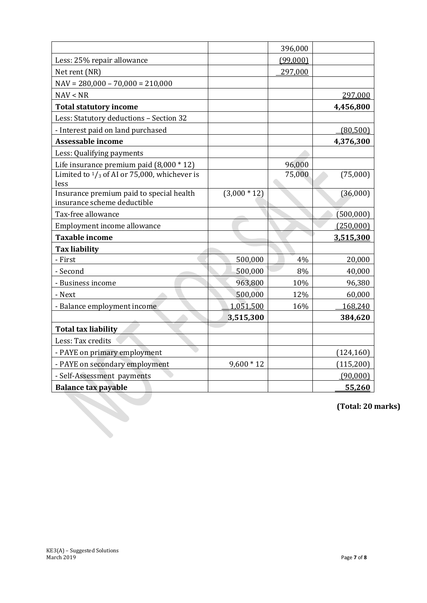|                                                                         |                | 396,000  |            |
|-------------------------------------------------------------------------|----------------|----------|------------|
| Less: 25% repair allowance                                              |                | (99,000) |            |
| Net rent (NR)                                                           |                | 297,000  |            |
| $NAV = 280,000 - 70,000 = 210,000$                                      |                |          |            |
| NAV < NR                                                                |                |          | 297,000    |
| <b>Total statutory income</b>                                           |                |          | 4,456,800  |
| Less: Statutory deductions - Section 32                                 |                |          |            |
| - Interest paid on land purchased                                       |                |          | (80, 500)  |
| <b>Assessable income</b>                                                |                |          | 4,376,300  |
| Less: Qualifying payments                                               |                |          |            |
| Life insurance premium paid $(8,000 * 12)$                              |                | 96,000   |            |
| Limited to $\frac{1}{3}$ of AI or 75,000, whichever is<br>less          |                | 75,000   | (75,000)   |
| Insurance premium paid to special health<br>insurance scheme deductible | $(3,000 * 12)$ |          | (36,000)   |
| Tax-free allowance                                                      |                |          | (500,000)  |
| Employment income allowance                                             |                |          | (250,000)  |
| <b>Taxable income</b>                                                   |                |          | 3,515,300  |
| <b>Tax liability</b>                                                    |                |          |            |
| - First                                                                 | 500,000        | 4%       | 20,000     |
| - Second                                                                | 500,000        | 8%       | 40,000     |
| - Business income                                                       | 963,800        | 10%      | 96,380     |
| - Next                                                                  | 500,000        | 12%      | 60,000     |
| - Balance employment income                                             | 1,051,500      | 16%      | 168,240    |
|                                                                         | 3,515,300      |          | 384,620    |
| <b>Total tax liability</b>                                              |                |          |            |
| Less: Tax credits                                                       |                |          |            |
| - PAYE on primary employment                                            |                |          | (124, 160) |
| - PAYE on secondary employment                                          | $9,600 * 12$   |          | (115, 200) |
| - Self-Assessment payments                                              |                |          | (90,000)   |
| <b>Balance tax payable</b>                                              |                |          | 55,260     |

**(Total: 20 marks)**